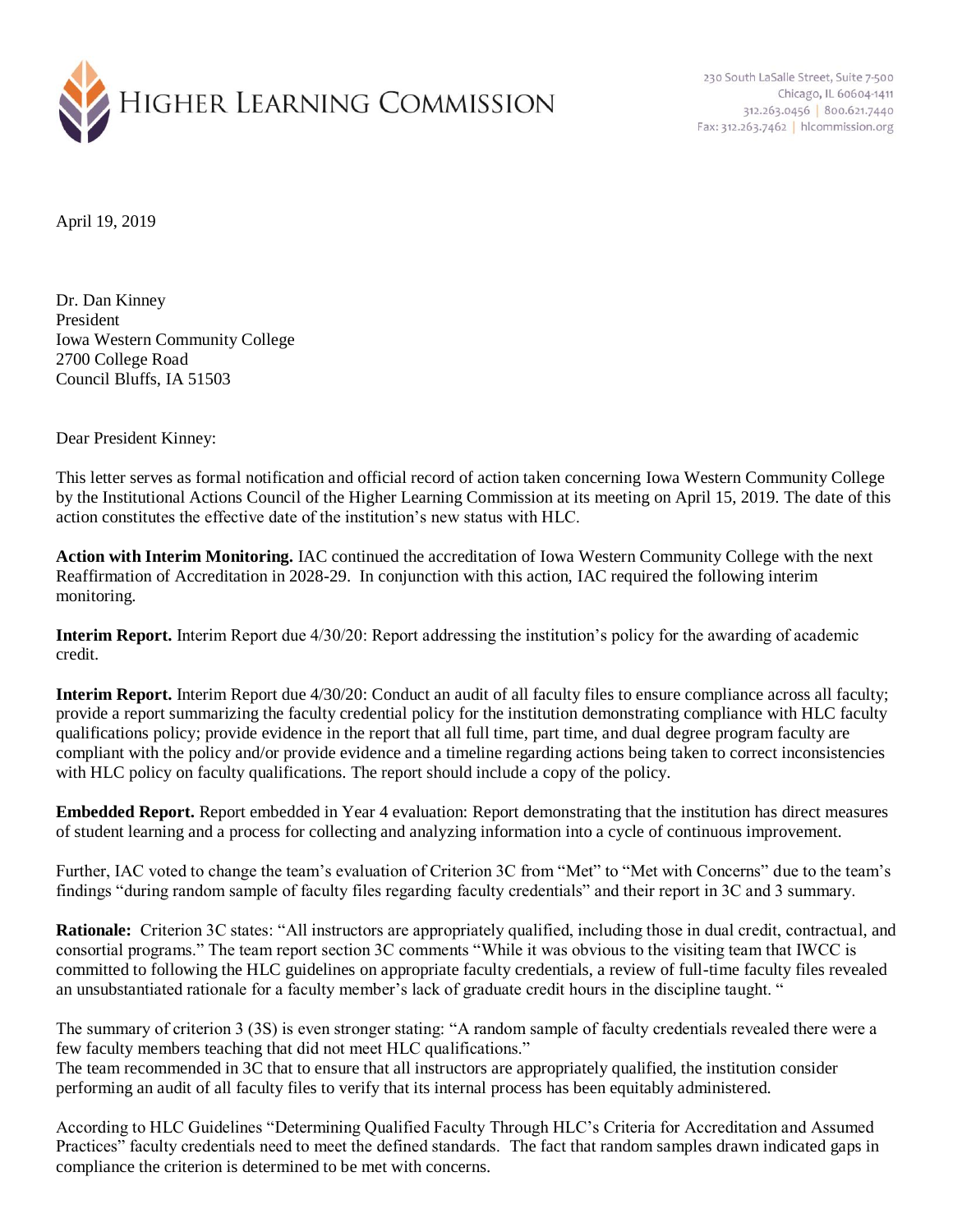

230 South LaSalle Street, Suite 7-500 Chicago, IL 60604-1411 312.263.0456 800.621.7440 Fax: 312.263.7462 | hlcommission.org

April 19, 2019

Dr. Dan Kinney President Iowa Western Community College 2700 College Road Council Bluffs, IA 51503

Dear President Kinney:

This letter serves as formal notification and official record of action taken concerning Iowa Western Community College by the Institutional Actions Council of the Higher Learning Commission at its meeting on April 15, 2019. The date of this action constitutes the effective date of the institution's new status with HLC.

**Action with Interim Monitoring.** IAC continued the accreditation of Iowa Western Community College with the next Reaffirmation of Accreditation in 2028-29. In conjunction with this action, IAC required the following interim monitoring.

**Interim Report.** Interim Report due 4/30/20: Report addressing the institution's policy for the awarding of academic credit.

**Interim Report.** Interim Report due 4/30/20: Conduct an audit of all faculty files to ensure compliance across all faculty; provide a report summarizing the faculty credential policy for the institution demonstrating compliance with HLC faculty qualifications policy; provide evidence in the report that all full time, part time, and dual degree program faculty are compliant with the policy and/or provide evidence and a timeline regarding actions being taken to correct inconsistencies with HLC policy on faculty qualifications. The report should include a copy of the policy.

**Embedded Report.** Report embedded in Year 4 evaluation: Report demonstrating that the institution has direct measures of student learning and a process for collecting and analyzing information into a cycle of continuous improvement.

Further, IAC voted to change the team's evaluation of Criterion 3C from "Met" to "Met with Concerns" due to the team's findings "during random sample of faculty files regarding faculty credentials" and their report in 3C and 3 summary.

**Rationale:** Criterion 3C states: "All instructors are appropriately qualified, including those in dual credit, contractual, and consortial programs." The team report section 3C comments "While it was obvious to the visiting team that IWCC is committed to following the HLC guidelines on appropriate faculty credentials, a review of full-time faculty files revealed an unsubstantiated rationale for a faculty member's lack of graduate credit hours in the discipline taught. "

The summary of criterion 3 (3S) is even stronger stating: "A random sample of faculty credentials revealed there were a few faculty members teaching that did not meet HLC qualifications." The team recommended in 3C that to ensure that all instructors are appropriately qualified, the institution consider

performing an audit of all faculty files to verify that its internal process has been equitably administered.

According to HLC Guidelines "Determining Qualified Faculty Through HLC's Criteria for Accreditation and Assumed Practices" faculty credentials need to meet the defined standards. The fact that random samples drawn indicated gaps in compliance the criterion is determined to be met with concerns.